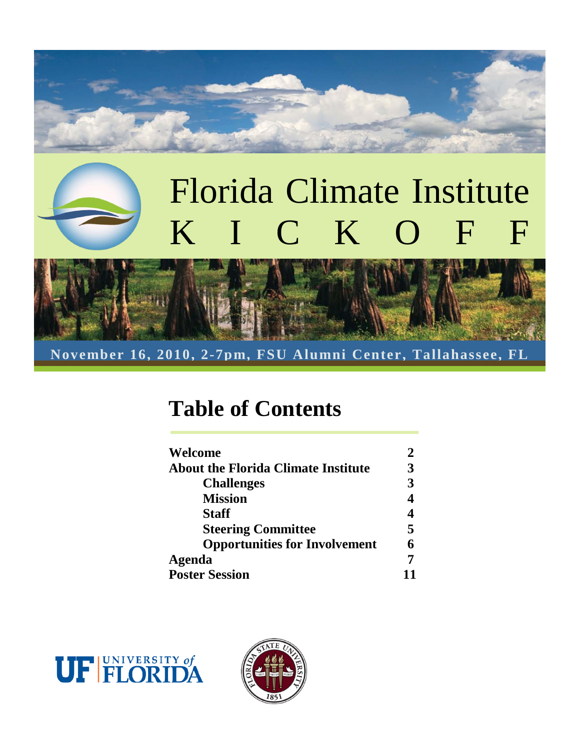# Florida Climate Institute KICKOFF



**November 16, 2010, 2-7pm, FSU Alumni Center, Tallahassee, FL**

### **Table of Contents**

| Welcome                                    |   |
|--------------------------------------------|---|
| <b>About the Florida Climate Institute</b> | 3 |
| <b>Challenges</b>                          |   |
| <b>Mission</b>                             |   |
| <b>Staff</b>                               |   |
| <b>Steering Committee</b>                  | 5 |
| <b>Opportunities for Involvement</b>       |   |
| <b>Agenda</b>                              |   |
| <b>Poster Session</b>                      |   |



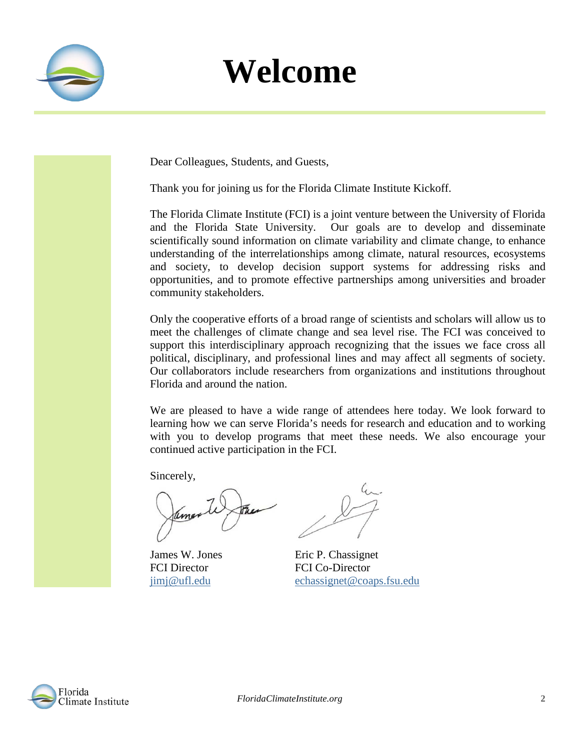

## **Welcome**

Dear Colleagues, Students, and Guests,

Thank you for joining us for the Florida Climate Institute Kickoff.

The Florida Climate Institute (FCI) is a joint venture between the [University of Florida](http://ufl.edu/) and the [Florida State University.](http://fsu.edu/) Our goals are to develop and disseminate scientifically sound information on climate variability and climate change, to enhance understanding of the interrelationships among climate, natural resources, ecosystems and society, to develop decision support systems for addressing risks and opportunities, and to promote effective partnerships among universities and broader community stakeholders.

Only the cooperative efforts of a broad range of scientists and scholars will allow us to meet the challenges of climate change and sea level rise. The FCI was conceived to support this interdisciplinary approach recognizing that the issues we face cross all political, disciplinary, and professional lines and may affect all segments of society. Our collaborators include researchers from organizations and institutions throughout Florida and around the nation.

We are pleased to have a wide range of attendees here today. We look forward to learning how we can serve Florida's needs for research and education and to working with you to develop programs that meet these needs. We also encourage your continued active participation in the FCI.

Sincerely,

amer

James W. Jones Eric P. Chassignet FCI Director FCI Co-Director [jimj@ufl.edu](mailto:jimj@ufl.edu) [echassignet@coaps.fsu.edu](mailto:echassignet@coaps.fsu.edu)

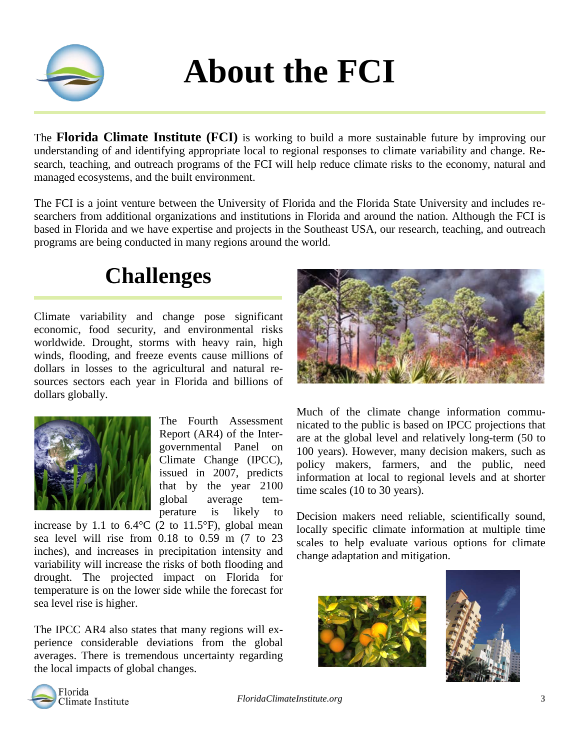

## **About the FCI**

The **Florida Climate Institute (FCI)** is working to build a more sustainable future by improving our understanding of and identifying appropriate local to regional responses to climate variability and change. Research, teaching, and outreach programs of the FCI will help reduce climate risks to the economy, natural and managed ecosystems, and the built environment.

The FCI is a joint venture between the University of Florida and the Florida State University and includes researchers from additional organizations and institutions in Florida and around the nation. Although the FCI is based in Florida and we have expertise and projects in the Southeast USA, our research, teaching, and outreach programs are being conducted in many regions around the world.

### **Challenges**

Climate variability and change pose significant economic, food security, and environmental risks worldwide. Drought, storms with heavy rain, high winds, flooding, and freeze events cause millions of dollars in losses to the agricultural and natural resources sectors each year in Florida and billions of dollars globally.



The Fourth Assessment Report (AR4) of the Intergovernmental Panel on Climate Change (IPCC), issued in 2007, predicts that by the year 2100 global average temperature is likely to

increase by 1.1 to  $6.4^{\circ}$ C (2 to 11.5°F), global mean sea level will rise from 0.18 to 0.59 m (7 to 23 inches), and increases in precipitation intensity and variability will increase the risks of both flooding and drought. The projected impact on Florida for temperature is on the lower side while the forecast for sea level rise is higher.

The IPCC AR4 also states that many regions will experience considerable deviations from the global averages. There is tremendous uncertainty regarding the local impacts of global changes.



Much of the climate change information communicated to the public is based on IPCC projections that are at the global level and relatively long-term (50 to 100 years). However, many decision makers, such as policy makers, farmers, and the public, need information at local to regional levels and at shorter time scales (10 to 30 years).

Decision makers need reliable, scientifically sound, locally specific climate information at multiple time scales to help evaluate various options for climate change adaptation and mitigation.





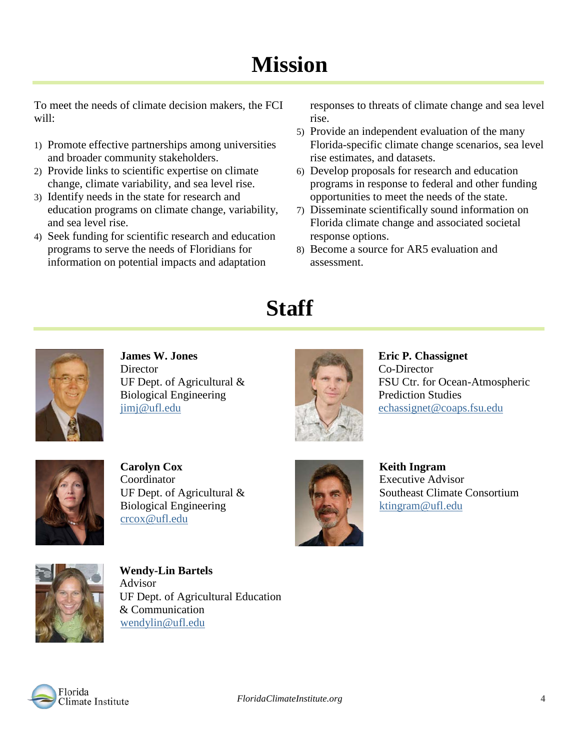## **Mission**

To meet the needs of climate decision makers, the FCI will:

- 1) Promote effective partnerships among universities and broader community stakeholders.
- 2) Provide links to scientific expertise on climate change, climate variability, and sea level rise.
- 3) Identify needs in the state for research and education programs on climate change, variability, and sea level rise.
- 4) Seek funding for scientific research and education programs to serve the needs of Floridians for information on potential impacts and adaptation

responses to threats of climate change and sea level rise.

- 5) Provide an independent evaluation of the many Florida-specific climate change scenarios, sea level rise estimates, and datasets.
- 6) Develop proposals for research and education programs in response to federal and other funding opportunities to meet the needs of the state.
- 7) Disseminate scientifically sound information on Florida climate change and associated societal response options.
- 8) Become a source for AR5 evaluation and assessment.

### **Staff**



**James W. Jones Director** UF Dept. of Agricultural & Biological Engineering [jimj@ufl.edu](mailto:jimj@ufl.edu)



**Eric P. Chassignet** Co-Director FSU Ctr. for Ocean-Atmospheric Prediction Studies [echassignet@coaps.fsu.edu](mailto:echassignet@coaps.fsu.edu)



**Carolyn Cox** Coordinator UF Dept. of Agricultural & Biological Engineering [crcox@ufl.edu](mailto:crcox@ufl.edu)



**Keith Ingram** Executive Advisor Southeast Climate Consortium [ktingram@ufl.edu](mailto:ktingram@ufl.edu)



**Wendy-Lin Bartels** Advisor UF Dept. of Agricultural Education & Communication [wendylin@ufl.edu](mailto:wendylin@ufl.edu)

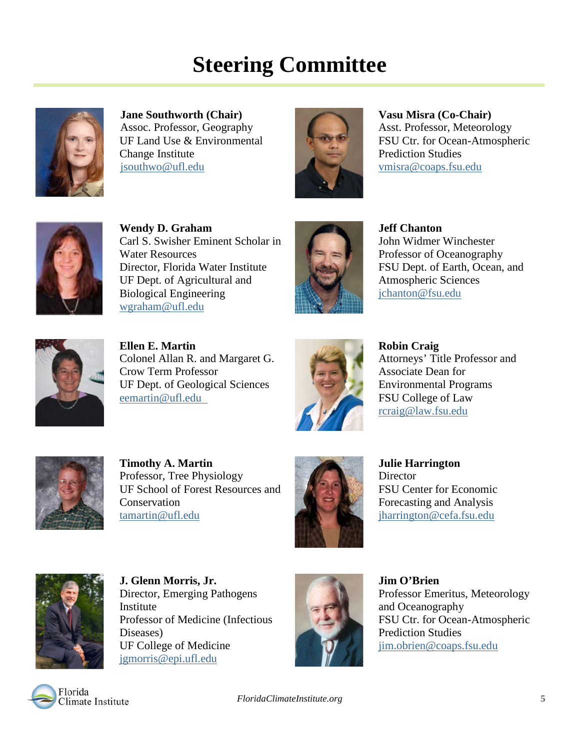### **Steering Committee**



**Jane Southworth (Chair)** Assoc. Professor, Geography UF Land Use & Environmental Change Institute [jsouthwo@ufl.edu](mailto:jsouthwo@ufl.edu)



**Vasu Misra (Co-Chair)** Asst. Professor, Meteorology FSU Ctr. for Ocean-Atmospheric Prediction Studies [vmisra@coaps.fsu.edu](mailto:vmisra@coaps.fsu.edu)



**Wendy D. Graham** Carl S. Swisher Eminent Scholar in Water Resources Director, Florida Water Institute UF Dept. of Agricultural and Biological Engineering [wgraham@ufl.edu](mailto:wgraham@ufl.edu)



**Jeff Chanton** John Widmer Winchester Professor of Oceanography FSU Dept. of Earth, Ocean, and Atmospheric Sciences [jchanton@fsu.edu](mailto:jchanton@fsu.edu)



**Ellen E. Martin** Colonel Allan R. and Margaret G. Crow Term Professor UF Dept. of Geological Sciences [eemartin@ufl.edu](mailto:eemartin@ufl.edu)



**Robin Craig** Attorneys' Title Professor and Associate Dean for Environmental Programs FSU College of Law [rcraig@law.fsu.edu](mailto:rcraig@law.fsu.edu)



**Timothy A. Martin** Professor, Tree Physiology UF School of Forest Resources and **Conservation** [tamartin@ufl.edu](mailto:tamartin@ufl.edu)



**Julie Harrington Director** FSU Center for Economic Forecasting and Analysis [jharrington@cefa.fsu.edu](mailto:jharrington@cefa.fsu.edu)



**J. Glenn Morris, Jr.** Director, Emerging Pathogens Institute Professor of Medicine (Infectious Diseases) UF College of Medicine [jgmorris@epi.ufl.edu](mailto:jgmorris@epi.ufl.edu)



**Jim O'Brien** Professor Emeritus, Meteorology and Oceanography FSU Ctr. for Ocean-Atmospheric Prediction Studies [jim.obrien@coaps.fsu.edu](mailto:jim.obrien@coaps.fsu.edu)

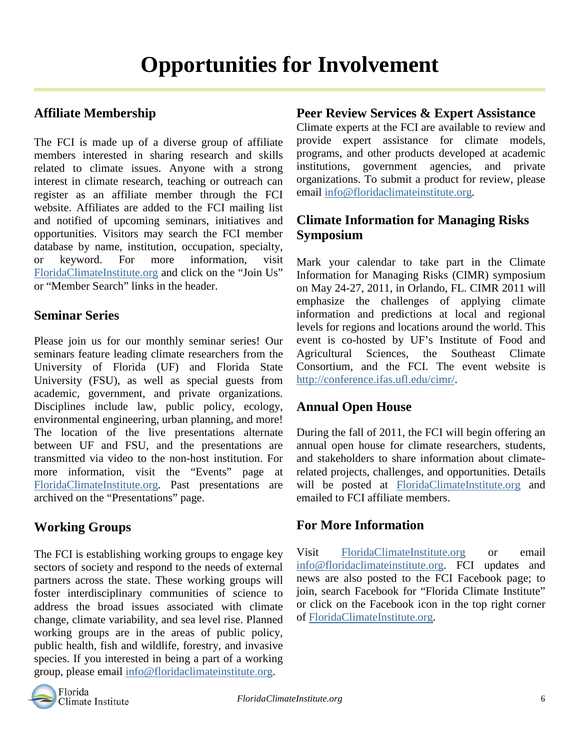### **Affiliate Membership**

The FCI is made up of a diverse group of affiliate members interested in sharing research and skills related to climate issues. Anyone with a strong interest in climate research, teaching or outreach can register as an affiliate member through the FCI website. Affiliates are added to the FCI mailing list and notified of upcoming seminars, initiatives and opportunities. Visitors may search the FCI member database by name, institution, occupation, specialty, or keyword. For more information, visit [FloridaClimateInstitute.org](http://www.floridaclimateinstitute.org/) and click on the "Join Us" or "Member Search" links in the header.

### **Seminar Series**

Please join us for our monthly seminar series! Our seminars feature leading climate researchers from the University of Florida (UF) and Florida State University (FSU), as well as special guests from academic, government, and private organizations. Disciplines include law, public policy, ecology, environmental engineering, urban planning, and more! The location of the live presentations alternate between UF and FSU, and the presentations are transmitted via video to the non-host institution. For more information, visit the "Events" page at [FloridaClimateInstitute.org.](http://www.floridaclimateinstitute.org/) Past presentations are archived on the "Presentations" page.

### **Working Groups**

The FCI is establishing working groups to engage key sectors of society and respond to the needs of external partners across the state. These working groups will foster interdisciplinary communities of science to address the broad issues associated with climate change, climate variability, and sea level rise. Planned working groups are in the areas of public policy, public health, fish and wildlife, forestry, and invasive species. If you interested in being a part of a working group, please email [info@floridaclimateinstitute.org.](mailto:info@floridaclimateinstitute.org)



Climate experts at the FCI are available to review and provide expert assistance for climate models, programs, and other products developed at academic institutions, government agencies, and private organizations. To submit a product for review, please email [info@floridaclimateinstitute.org.](mailto:info@floridaclimateinstitute.org)

### **Climate Information for Managing Risks Symposium**

Mark your calendar to take part in the Climate Information for Managing Risks (CIMR) symposium on May 24-27, 2011, in Orlando, FL. CIMR 2011 will emphasize the challenges of applying climate information and predictions at local and regional levels for regions and locations around the world. This event is co-hosted by UF's Institute of Food and Agricultural Sciences, the Southeast Climate Consortium, and the FCI. The event website is [http://conference.ifas.ufl.edu/cimr/.](http://conference.ifas.ufl.edu/cimr/)

### **Annual Open House**

During the fall of 2011, the FCI will begin offering an annual open house for climate researchers, students, and stakeholders to share information about climaterelated projects, challenges, and opportunities. Details will be posted at [FloridaClimateInstitute.org](http://www.floridaclimateinstitute.org/) and emailed to FCI affiliate members.

### **For More Information**

Visit [FloridaClimateInstitute.org](http://www.floridaclimateinstitute.org/) or email [info@floridaclimateinstitute.org.](mailto:info@floridaclimateinstitute.org) FCI updates and news are also posted to the FCI Facebook page; to join, search Facebook for "Florida Climate Institute" or click on the Facebook icon in the top right corner of [FloridaClimateInstitute.org.](http://www.floridaclimateinstitute.org/)

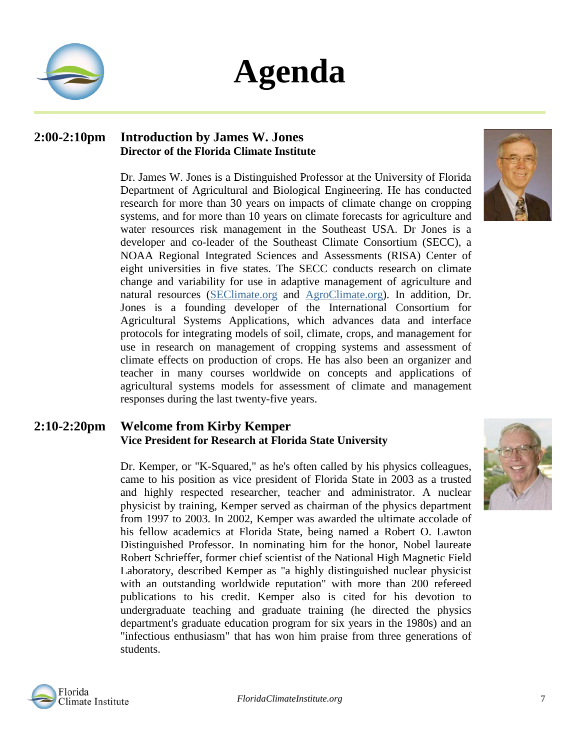

## **Agenda**

#### **2:00-2:10pm Introduction by James W. Jones Director of the Florida Climate Institute**

Dr. James W. Jones is a Distinguished Professor at the University of Florida Department of Agricultural and Biological Engineering. He has conducted research for more than 30 years on impacts of climate change on cropping systems, and for more than 10 years on climate forecasts for agriculture and water resources risk management in the Southeast USA. Dr Jones is a developer and co-leader of the Southeast Climate Consortium (SECC), a NOAA Regional Integrated Sciences and Assessments (RISA) Center of eight universities in five states. The SECC conducts research on climate change and variability for use in adaptive management of agriculture and natural resources [\(SEClimate.org](http://seclimate.org/) and [AgroClimate.org\)](http://agroclimate.org/). In addition, Dr. Jones is a founding developer of the International Consortium for Agricultural Systems Applications, which advances data and interface protocols for integrating models of soil, climate, crops, and management for use in research on management of cropping systems and assessment of climate effects on production of crops. He has also been an organizer and teacher in many courses worldwide on concepts and applications of agricultural systems models for assessment of climate and management responses during the last twenty-five years.

### **2:10-2:20pm Welcome from Kirby Kemper Vice President for Research at Florida State University**

Dr. Kemper, or "K-Squared," as he's often called by his physics colleagues, came to his position as vice president of Florida State in 2003 as a trusted and highly respected researcher, teacher and administrator. A nuclear physicist by training, Kemper served as chairman of the physics department from 1997 to 2003. In 2002, Kemper was awarded the ultimate accolade of his fellow academics at Florida State, being named a Robert O. Lawton Distinguished Professor. In nominating him for the honor, Nobel laureate Robert Schrieffer, former chief scientist of the National High Magnetic Field Laboratory, described Kemper as "a highly distinguished nuclear physicist with an outstanding worldwide reputation" with more than 200 refereed publications to his credit. Kemper also is cited for his devotion to undergraduate teaching and graduate training (he directed the physics department's graduate education program for six years in the 1980s) and an "infectious enthusiasm" that has won him praise from three generations of students.





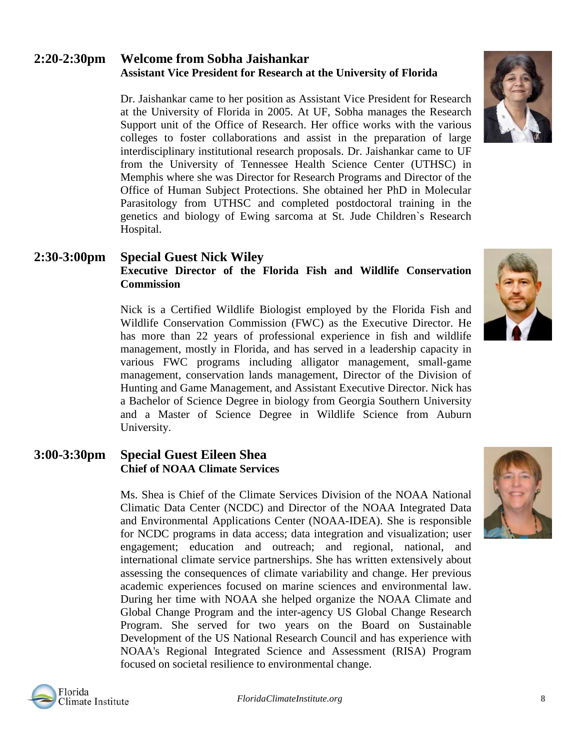### **2:20-2:30pm Welcome from Sobha Jaishankar Assistant Vice President for Research at the University of Florida**

Dr. Jaishankar came to her position as Assistant Vice President for Research at the University of Florida in 2005. At UF, Sobha manages the Research Support unit of the Office of Research. Her office works with the various colleges to foster collaborations and assist in the preparation of large interdisciplinary institutional research proposals. Dr. Jaishankar came to UF from the University of Tennessee Health Science Center (UTHSC) in Memphis where she was Director for Research Programs and Director of the Office of Human Subject Protections. She obtained her PhD in Molecular Parasitology from UTHSC and completed postdoctoral training in the genetics and biology of Ewing sarcoma at St. Jude Children`s Research Hospital.

### **2:30-3:00pm Special Guest Nick Wiley Executive Director of the Florida Fish and Wildlife Conservation Commission**

Nick is a Certified Wildlife Biologist employed by the Florida Fish and Wildlife Conservation Commission (FWC) as the Executive Director. He has more than 22 years of professional experience in fish and wildlife management, mostly in Florida, and has served in a leadership capacity in various FWC programs including alligator management, small-game management, conservation lands management, Director of the Division of Hunting and Game Management, and Assistant Executive Director. Nick has a Bachelor of Science Degree in biology from Georgia Southern University and a Master of Science Degree in Wildlife Science from Auburn University.

### **3:00-3:30pm Special Guest Eileen Shea Chief of NOAA Climate Services**

Ms. Shea is Chief of the Climate Services Division of the NOAA National Climatic Data Center (NCDC) and Director of the NOAA Integrated Data and Environmental Applications Center (NOAA-IDEA). She is responsible for NCDC programs in data access; data integration and visualization; user engagement; education and outreach; and regional, national, and international climate service partnerships. She has written extensively about assessing the consequences of climate variability and change. Her previous academic experiences focused on marine sciences and environmental law. During her time with NOAA she helped organize the NOAA Climate and Global Change Program and the inter-agency US Global Change Research Program. She served for two years on the Board on Sustainable Development of the US National Research Council and has experience with NOAA's Regional Integrated Science and Assessment (RISA) Program focused on societal resilience to environmental change.





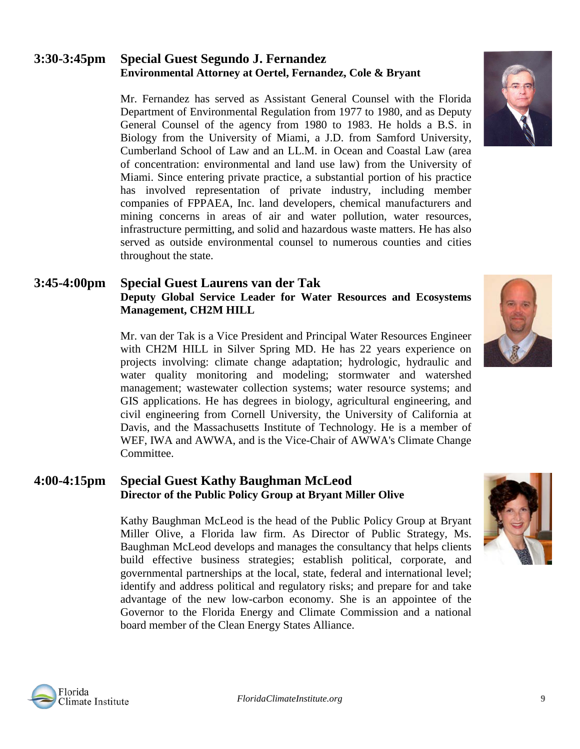### **3:30-3:45pm Special Guest Segundo J. Fernandez Environmental Attorney at Oertel, Fernandez, Cole & Bryant**

Mr. Fernandez has served as Assistant General Counsel with the Florida Department of Environmental Regulation from 1977 to 1980, and as Deputy General Counsel of the agency from 1980 to 1983. He holds a B.S. in Biology from the University of Miami, a J.D. from Samford University, Cumberland School of Law and an LL.M. in Ocean and Coastal Law (area of concentration: environmental and land use law) from the University of Miami. Since entering private practice, a substantial portion of his practice has involved representation of private industry, including member companies of FPPAEA, Inc. land developers, chemical manufacturers and mining concerns in areas of air and water pollution, water resources, infrastructure permitting, and solid and hazardous waste matters. He has also served as outside environmental counsel to numerous counties and cities throughout the state.

#### **3:45-4:00pm Special Guest Laurens van der Tak Deputy Global Service Leader for Water Resources and Ecosystems Management, CH2M HILL**

Mr. van der Tak is a Vice President and Principal Water Resources Engineer with CH2M HILL in Silver Spring MD. He has 22 years experience on projects involving: climate change adaptation; hydrologic, hydraulic and water quality monitoring and modeling; stormwater and watershed management; wastewater collection systems; water resource systems; and GIS applications. He has degrees in biology, agricultural engineering, and civil engineering from Cornell University, the University of California at Davis, and the Massachusetts Institute of Technology. He is a member of WEF, IWA and AWWA, and is the Vice-Chair of AWWA's Climate Change Committee.

### **4:00-4:15pm Special Guest Kathy Baughman McLeod Director of the Public Policy Group at Bryant Miller Olive**

Kathy Baughman McLeod is the head of the Public Policy Group at Bryant Miller Olive, a Florida law firm. As Director of Public Strategy, Ms. Baughman McLeod develops and manages the consultancy that helps clients build effective business strategies; establish political, corporate, and governmental partnerships at the local, state, federal and international level; identify and address political and regulatory risks; and prepare for and take advantage of the new low-carbon economy. She is an appointee of the Governor to the Florida Energy and Climate Commission and a national board member of the Clean Energy States Alliance.







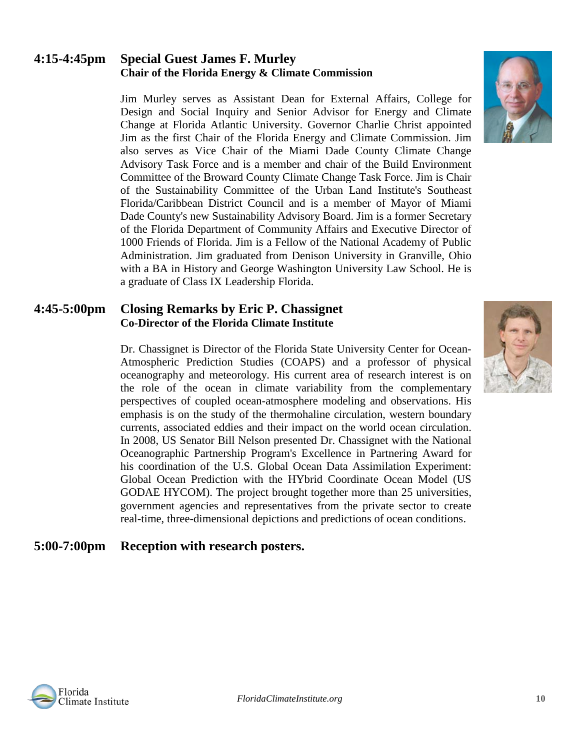### **4:15-4:45pm Special Guest James F. Murley Chair of the Florida Energy & Climate Commission**

Jim Murley serves as Assistant Dean for External Affairs, College for Design and Social Inquiry and Senior Advisor for Energy and Climate Change at Florida Atlantic University. Governor Charlie Christ appointed Jim as the first Chair of the Florida Energy and Climate Commission. Jim also serves as Vice Chair of the Miami Dade County Climate Change Advisory Task Force and is a member and chair of the Build Environment Committee of the Broward County Climate Change Task Force. Jim is Chair of the Sustainability Committee of the Urban Land Institute's Southeast Florida/Caribbean District Council and is a member of Mayor of Miami Dade County's new Sustainability Advisory Board. Jim is a former Secretary of the Florida Department of Community Affairs and Executive Director of 1000 Friends of Florida. Jim is a Fellow of the National Academy of Public Administration. Jim graduated from Denison University in Granville, Ohio with a BA in History and George Washington University Law School. He is a graduate of Class IX Leadership Florida.

#### **4:45-5:00pm Closing Remarks by Eric P. Chassignet Co-Director of the Florida Climate Institute**

Dr. Chassignet is Director of the Florida State University Center for Ocean-Atmospheric Prediction Studies (COAPS) and a professor of physical oceanography and meteorology. His current area of research interest is on the role of the ocean in climate variability from the complementary perspectives of coupled ocean-atmosphere modeling and observations. His emphasis is on the study of the thermohaline circulation, western boundary currents, associated eddies and their impact on the world ocean circulation. In 2008, US Senator Bill Nelson presented Dr. Chassignet with the National Oceanographic Partnership Program's Excellence in Partnering Award for his coordination of the U.S. Global Ocean Data Assimilation Experiment: Global Ocean Prediction with the HYbrid Coordinate Ocean Model (US GODAE HYCOM). The project brought together more than 25 universities, government agencies and representatives from the private sector to create real-time, three-dimensional depictions and predictions of ocean conditions.

### **5:00-7:00pm Reception with research posters.**





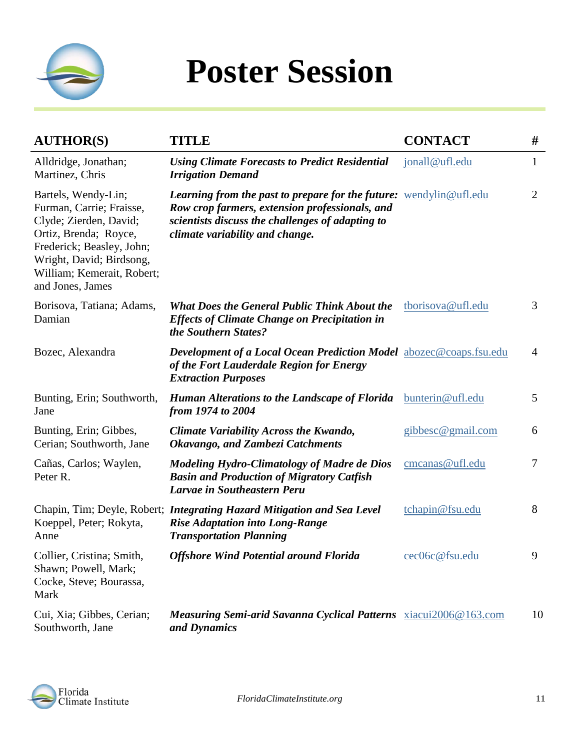

## **Poster Session**

| <b>AUTHOR(S)</b>                                                                                                                                                                                              | <b>TITLE</b>                                                                                                                                                                                                       | <b>CONTACT</b>    | #              |
|---------------------------------------------------------------------------------------------------------------------------------------------------------------------------------------------------------------|--------------------------------------------------------------------------------------------------------------------------------------------------------------------------------------------------------------------|-------------------|----------------|
| Alldridge, Jonathan;<br>Martinez, Chris                                                                                                                                                                       | <b>Using Climate Forecasts to Predict Residential</b><br><b>Irrigation Demand</b>                                                                                                                                  | jonall@ufl.edu    | $\mathbf{1}$   |
| Bartels, Wendy-Lin;<br>Furman, Carrie; Fraisse,<br>Clyde; Zierden, David;<br>Ortiz, Brenda; Royce,<br>Frederick; Beasley, John;<br>Wright, David; Birdsong,<br>William; Kemerait, Robert;<br>and Jones, James | <b>Learning from the past to prepare for the future:</b> wendylin@ufl.edu<br>Row crop farmers, extension professionals, and<br>scientists discuss the challenges of adapting to<br>climate variability and change. |                   | $\overline{2}$ |
| Borisova, Tatiana; Adams,<br>Damian                                                                                                                                                                           | <b>What Does the General Public Think About the</b><br><b>Effects of Climate Change on Precipitation in</b><br>the Southern States?                                                                                | tborisova@ufl.edu | 3              |
| Bozec, Alexandra                                                                                                                                                                                              | <b>Development of a Local Ocean Prediction Model</b> abozec@coaps.fsu.edu<br>of the Fort Lauderdale Region for Energy<br><b>Extraction Purposes</b>                                                                |                   | $\overline{4}$ |
| Bunting, Erin; Southworth,<br>Jane                                                                                                                                                                            | <b>Human Alterations to the Landscape of Florida</b><br>from 1974 to 2004                                                                                                                                          | bunterin@ufl.edu  | 5              |
| Bunting, Erin; Gibbes,<br>Cerian; Southworth, Jane                                                                                                                                                            | Climate Variability Across the Kwando,<br><b>Okavango, and Zambezi Catchments</b>                                                                                                                                  | gibbesc@gmail.com | 6              |
| Cañas, Carlos; Waylen,<br>Peter R.                                                                                                                                                                            | <b>Modeling Hydro-Climatology of Madre de Dios</b><br><b>Basin and Production of Migratory Catfish</b><br><b>Larvae in Southeastern Peru</b>                                                                       | cmcanas@ufl.edu   | $\overline{7}$ |
| Koeppel, Peter; Rokyta,<br>Anne                                                                                                                                                                               | Chapin, Tim; Deyle, Robert; Integrating Hazard Mitigation and Sea Level<br><b>Rise Adaptation into Long-Range</b><br><b>Transportation Planning</b>                                                                | tchapin@fsu.edu   | 8              |
| Collier, Cristina; Smith,<br>Shawn; Powell, Mark;<br>Cocke, Steve; Bourassa,<br>Mark                                                                                                                          | <b>Offshore Wind Potential around Florida</b>                                                                                                                                                                      | cec06c@fsu.edu    | 9              |
| Cui, Xia; Gibbes, Cerian;<br>Southworth, Jane                                                                                                                                                                 | <b>Measuring Semi-arid Savanna Cyclical Patterns</b> xiacui2006@163.com<br>and Dynamics                                                                                                                            |                   | 10             |

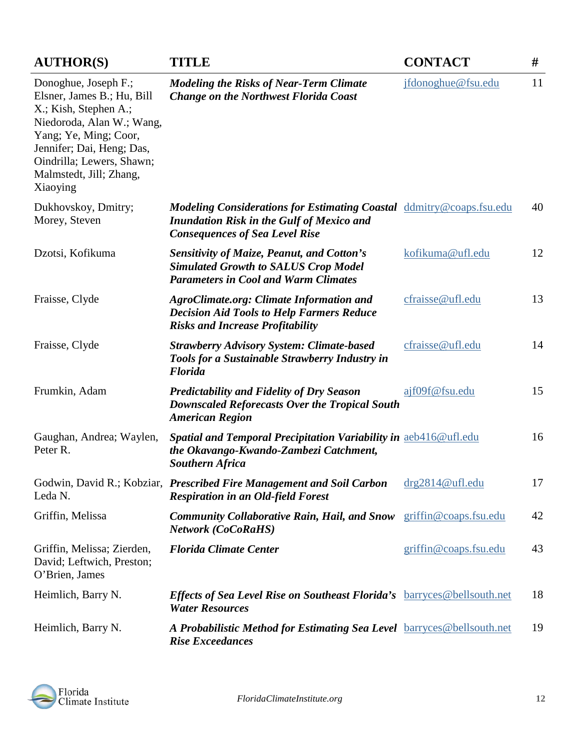| <b>AUTHOR(S)</b>                                                                                                                                                                                                                   | <b>TITLE</b>                                                                                                                                                             | <b>CONTACT</b>        | #  |
|------------------------------------------------------------------------------------------------------------------------------------------------------------------------------------------------------------------------------------|--------------------------------------------------------------------------------------------------------------------------------------------------------------------------|-----------------------|----|
| Donoghue, Joseph F.;<br>Elsner, James B.; Hu, Bill<br>X.; Kish, Stephen A.;<br>Niedoroda, Alan W.; Wang,<br>Yang; Ye, Ming; Coor,<br>Jennifer; Dai, Heng; Das,<br>Oindrilla; Lewers, Shawn;<br>Malmstedt, Jill; Zhang,<br>Xiaoying | <b>Modeling the Risks of Near-Term Climate</b><br><b>Change on the Northwest Florida Coast</b>                                                                           | jfdonoghue@fsu.edu    | 11 |
| Dukhovskoy, Dmitry;<br>Morey, Steven                                                                                                                                                                                               | <b>Modeling Considerations for Estimating Coastal</b> ddmitry@coaps.fsu.edu<br><b>Inundation Risk in the Gulf of Mexico and</b><br><b>Consequences of Sea Level Rise</b> |                       | 40 |
| Dzotsi, Kofikuma                                                                                                                                                                                                                   | <b>Sensitivity of Maize, Peanut, and Cotton's</b><br><b>Simulated Growth to SALUS Crop Model</b><br><b>Parameters in Cool and Warm Climates</b>                          | kofikuma@ufl.edu      | 12 |
| Fraisse, Clyde                                                                                                                                                                                                                     | <b>AgroClimate.org: Climate Information and</b><br><b>Decision Aid Tools to Help Farmers Reduce</b><br><b>Risks and Increase Profitability</b>                           | cfraisse@ufl.edu      | 13 |
| Fraisse, Clyde                                                                                                                                                                                                                     | <b>Strawberry Advisory System: Climate-based</b><br>Tools for a Sustainable Strawberry Industry in<br><b>Florida</b>                                                     | cfraisse@ufl.edu      | 14 |
| Frumkin, Adam                                                                                                                                                                                                                      | <b>Predictability and Fidelity of Dry Season</b><br><b>Downscaled Reforecasts Over the Tropical South</b><br><b>American Region</b>                                      | ajf09f@fsu.edu        | 15 |
| Gaughan, Andrea; Waylen,<br>Peter R.                                                                                                                                                                                               | Spatial and Temporal Precipitation Variability in aeb416@ufl.edu<br>the Okavango-Kwando-Zambezi Catchment,<br><b>Southern Africa</b>                                     |                       | 16 |
| Leda N.                                                                                                                                                                                                                            | Godwin, David R.; Kobziar, Prescribed Fire Management and Soil Carbon<br><b>Respiration in an Old-field Forest</b>                                                       | drg2814@ufl.edu       | 17 |
| Griffin, Melissa                                                                                                                                                                                                                   | <b>Community Collaborative Rain, Hail, and Snow</b><br><b>Network (CoCoRaHS)</b>                                                                                         | griffin@coaps.fsu.edu | 42 |
| Griffin, Melissa; Zierden,<br>David; Leftwich, Preston;<br>O'Brien, James                                                                                                                                                          | <b>Florida Climate Center</b>                                                                                                                                            | griffin@coaps.fsu.edu | 43 |
| Heimlich, Barry N.                                                                                                                                                                                                                 | <b>Effects of Sea Level Rise on Southeast Florida's</b> barryces@bellsouth.net<br><b>Water Resources</b>                                                                 |                       | 18 |
| Heimlich, Barry N.                                                                                                                                                                                                                 | A Probabilistic Method for Estimating Sea Level barryces@bellsouth.net<br><b>Rise Exceedances</b>                                                                        |                       | 19 |

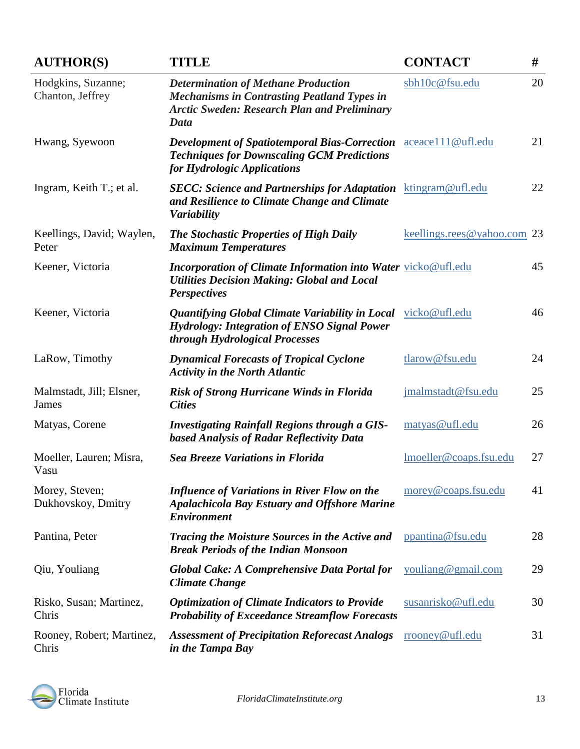| <b>AUTHOR(S)</b>                       | <b>TITLE</b>                                                                                                                                                    | <b>CONTACT</b>              | #  |
|----------------------------------------|-----------------------------------------------------------------------------------------------------------------------------------------------------------------|-----------------------------|----|
| Hodgkins, Suzanne;<br>Chanton, Jeffrey | <b>Determination of Methane Production</b><br><b>Mechanisms in Contrasting Peatland Types in</b><br><b>Arctic Sweden: Research Plan and Preliminary</b><br>Data | sbh10c@fsu.edu              | 20 |
| Hwang, Syewoon                         | <b>Development of Spatiotemporal Bias-Correction</b><br><b>Techniques for Downscaling GCM Predictions</b><br>for Hydrologic Applications                        | aceace111@ufl.edu           | 21 |
| Ingram, Keith T.; et al.               | <b>SECC: Science and Partnerships for Adaptation</b><br>and Resilience to Climate Change and Climate<br><b>Variability</b>                                      | ktingram@ufl.edu            | 22 |
| Keellings, David; Waylen,<br>Peter     | <b>The Stochastic Properties of High Daily</b><br><b>Maximum Temperatures</b>                                                                                   | keellings.rees@yahoo.com 23 |    |
| Keener, Victoria                       | <b>Incorporation of Climate Information into Water vicko@ufl.edu</b><br><b>Utilities Decision Making: Global and Local</b><br><b>Perspectives</b>               |                             | 45 |
| Keener, Victoria                       | Quantifying Global Climate Variability in Local<br><b>Hydrology: Integration of ENSO Signal Power</b><br>through Hydrological Processes                         | vicko@ufl.edu               | 46 |
| LaRow, Timothy                         | <b>Dynamical Forecasts of Tropical Cyclone</b><br><b>Activity in the North Atlantic</b>                                                                         | tlarow@fsu.edu              | 24 |
| Malmstadt, Jill; Elsner,<br>James      | <b>Risk of Strong Hurricane Winds in Florida</b><br><b>Cities</b>                                                                                               | jmalmstadt@fsu.edu          | 25 |
| Matyas, Corene                         | <b>Investigating Rainfall Regions through a GIS-</b><br><b>based Analysis of Radar Reflectivity Data</b>                                                        | matyas@ufl.edu              | 26 |
| Moeller, Lauren; Misra,<br>Vasu        | <b>Sea Breeze Variations in Florida</b>                                                                                                                         | lmoeller@coaps.fsu.edu      | 27 |
| Morey, Steven;<br>Dukhovskoy, Dmitry   | <b>Influence of Variations in River Flow on the</b><br><b>Apalachicola Bay Estuary and Offshore Marine</b><br><b>Environment</b>                                | morey@coaps.fsu.edu         | 41 |
| Pantina, Peter                         | Tracing the Moisture Sources in the Active and<br><b>Break Periods of the Indian Monsoon</b>                                                                    | ppantina@fsu.edu            | 28 |
| Qiu, Youliang                          | Global Cake: A Comprehensive Data Portal for<br><b>Climate Change</b>                                                                                           | youliang@gmail.com          | 29 |
| Risko, Susan; Martinez,<br>Chris       | <b>Optimization of Climate Indicators to Provide</b><br><b>Probability of Exceedance Streamflow Forecasts</b>                                                   | susanrisko@ufl.edu          | 30 |
| Rooney, Robert; Martinez,<br>Chris     | <b>Assessment of Precipitation Reforecast Analogs</b><br>in the Tampa Bay                                                                                       | rrooney@ufl.edu             | 31 |